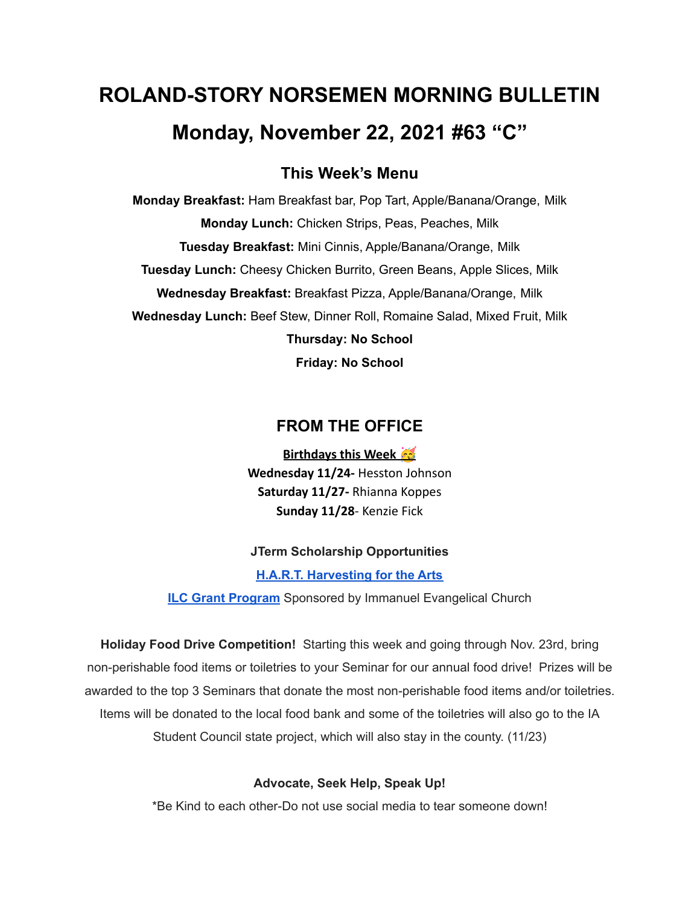# **ROLAND-STORY NORSEMEN MORNING BULLETIN Monday, November 22, 2021 #63 "C"**

# **This Week's Menu**

**Monday Breakfast:** Ham Breakfast bar, Pop Tart, Apple/Banana/Orange, Milk **Monday Lunch:** Chicken Strips, Peas, Peaches, Milk **Tuesday Breakfast:** Mini Cinnis, Apple/Banana/Orange, Milk **Tuesday Lunch:** Cheesy Chicken Burrito, Green Beans, Apple Slices, Milk **Wednesday Breakfast:** Breakfast Pizza, Apple/Banana/Orange, Milk **Wednesday Lunch:** Beef Stew, Dinner Roll, Romaine Salad, Mixed Fruit, Milk **Thursday: No School**

**Friday: No School**

# **FROM THE OFFICE**

**Birthdays this Week Wednesday 11/24-** Hesston Johnson **Saturday 11/27-** Rhianna Koppes **Sunday 11/28**- Kenzie Fick

#### **JTerm Scholarship Opportunities**

**H.A.R.T. [Harvesting](https://drive.google.com/file/d/11g4-lZB5o7SgG3y5R4Ux7ycNKvq857Rx/view?usp=sharing) for the Arts**

**ILC Grant [Program](https://docs.google.com/document/d/1b9DHMpZaVSj48gvRrAlQ3TA3HICpz-mx/edit?usp=sharing&ouid=114282091537110464265&rtpof=true&sd=true)** Sponsored by Immanuel Evangelical Church

**Holiday Food Drive Competition!** Starting this week and going through Nov. 23rd, bring non-perishable food items or toiletries to your Seminar for our annual food drive! Prizes will be awarded to the top 3 Seminars that donate the most non-perishable food items and/or toiletries. Items will be donated to the local food bank and some of the toiletries will also go to the IA Student Council state project, which will also stay in the county. (11/23)

#### **Advocate, Seek Help, Speak Up!**

\*Be Kind to each other-Do not use social media to tear someone down!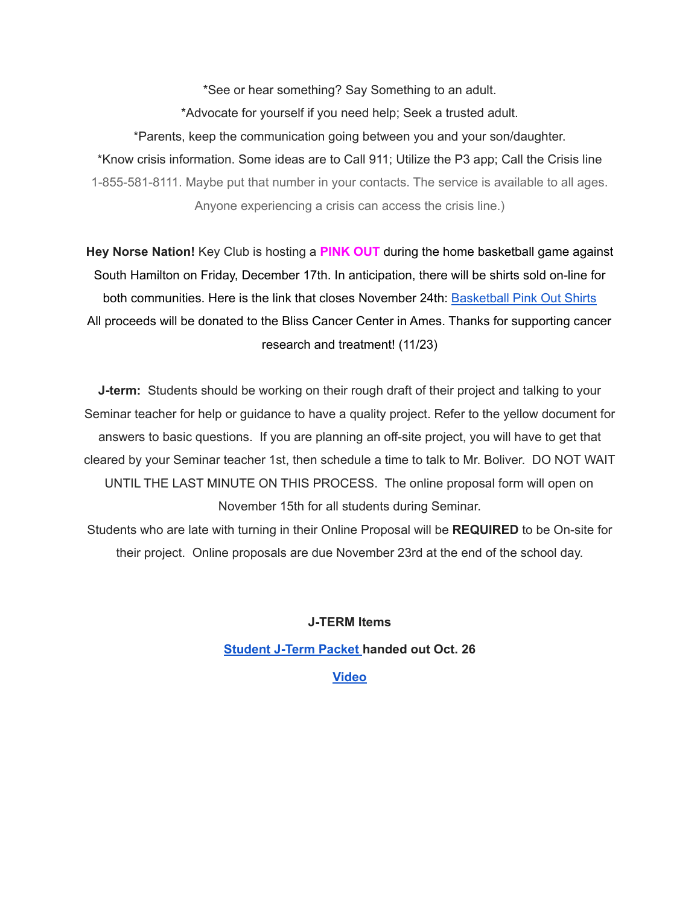\*See or hear something? Say Something to an adult. \*Advocate for yourself if you need help; Seek a trusted adult. \*Parents, keep the communication going between you and your son/daughter. \*Know crisis information. Some ideas are to Call 911; Utilize the P3 app; Call the Crisis line 1-855-581-8111. Maybe put that number in your contacts. The service is available to all ages. Anyone experiencing a crisis can access the crisis line.)

**Hey Norse Nation!** Key Club is hosting a **PINK OUT** during the home basketball game against South Hamilton on Friday, December 17th. In anticipation, there will be shirts sold on-line for both communities. Here is the link that closes November 24th: [Basketball](https://rsshcvc21.itemorder.com/shop/sale/?saleCode=VJQ3K) Pink Out Shirts All proceeds will be donated to the Bliss Cancer Center in Ames. Thanks for supporting cancer research and treatment! (11/23)

**J-term:** Students should be working on their rough draft of their project and talking to your Seminar teacher for help or guidance to have a quality project. Refer to the yellow document for answers to basic questions. If you are planning an off-site project, you will have to get that cleared by your Seminar teacher 1st, then schedule a time to talk to Mr. Boliver. DO NOT WAIT UNTIL THE LAST MINUTE ON THIS PROCESS. The online proposal form will open on November 15th for all students during Seminar.

Students who are late with turning in their Online Proposal will be **REQUIRED** to be On-site for their project. Online proposals are due November 23rd at the end of the school day.

**J-TERM Items**

**[Student](https://drive.google.com/file/d/1h6QugcDvlDevR3f9EywbUQrqVqyCPD5n/view?usp=sharing) J-Term Packet handed out Oct. 26**

#### **[Video](https://drive.google.com/file/d/1-IjAQRz891m66mXs_V_s9qC8_1HN0Jw_/view?usp=sharing)**